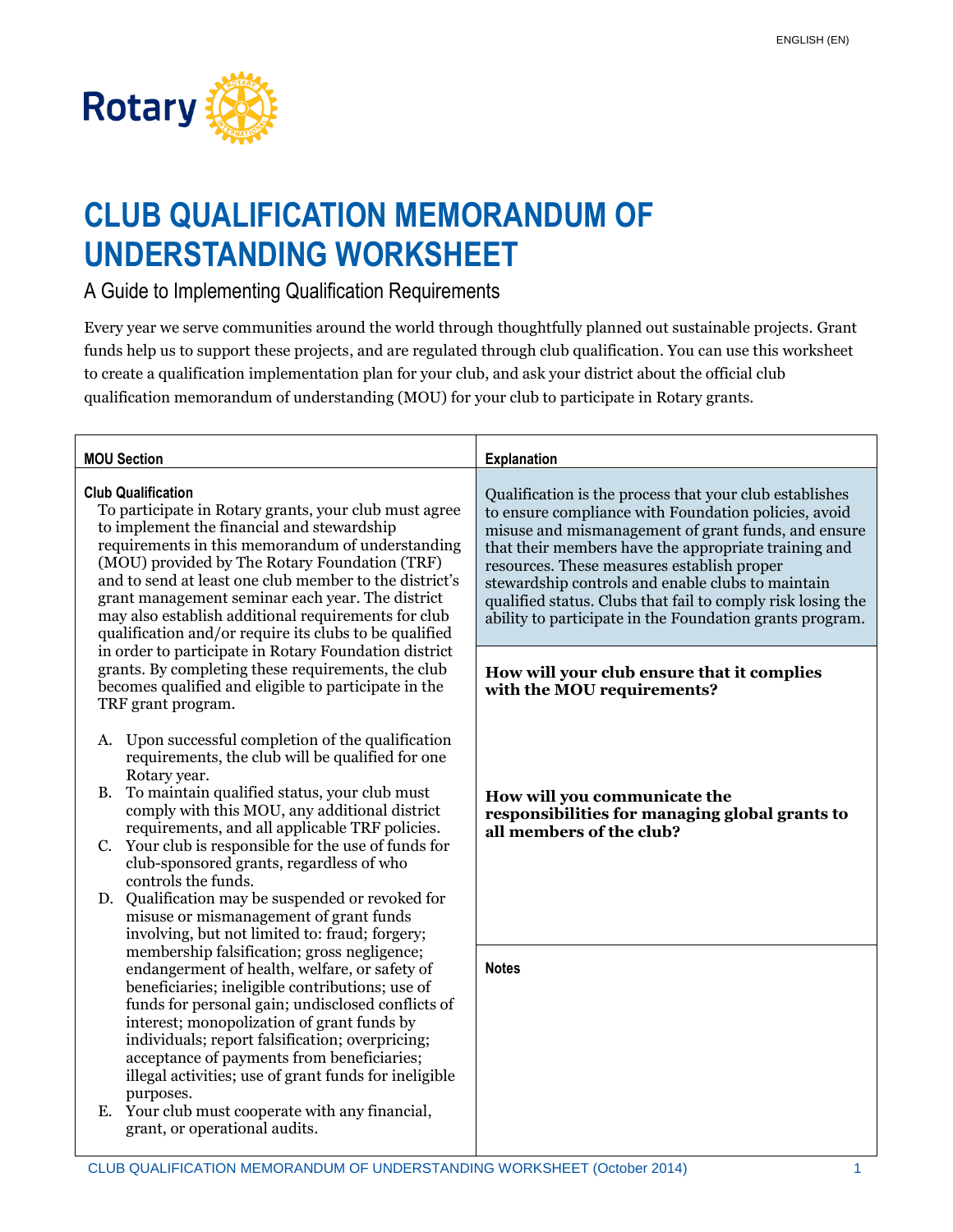

## **CLUB QUALIFICATION MEMORANDUM OF UNDERSTANDING WORKSHEET**

A Guide to Implementing Qualification Requirements

Every year we serve communities around the world through thoughtfully planned out sustainable projects. Grant funds help us to support these projects, and are regulated through club qualification. You can use this worksheet to create a qualification implementation plan for your club, and ask your district about the official club qualification memorandum of understanding (MOU) for your club to participate in Rotary grants.

| <b>MOU Section</b>                                                                                                                                                                                                                                                                                                                                                                                                                                                                                               | <b>Explanation</b>                                                                                                                                                                                                                                                                                                                                                                                                                                           |
|------------------------------------------------------------------------------------------------------------------------------------------------------------------------------------------------------------------------------------------------------------------------------------------------------------------------------------------------------------------------------------------------------------------------------------------------------------------------------------------------------------------|--------------------------------------------------------------------------------------------------------------------------------------------------------------------------------------------------------------------------------------------------------------------------------------------------------------------------------------------------------------------------------------------------------------------------------------------------------------|
| <b>Club Qualification</b><br>To participate in Rotary grants, your club must agree<br>to implement the financial and stewardship<br>requirements in this memorandum of understanding<br>(MOU) provided by The Rotary Foundation (TRF)<br>and to send at least one club member to the district's<br>grant management seminar each year. The district<br>may also establish additional requirements for club<br>qualification and/or require its clubs to be qualified                                             | Qualification is the process that your club establishes<br>to ensure compliance with Foundation policies, avoid<br>misuse and mismanagement of grant funds, and ensure<br>that their members have the appropriate training and<br>resources. These measures establish proper<br>stewardship controls and enable clubs to maintain<br>qualified status. Clubs that fail to comply risk losing the<br>ability to participate in the Foundation grants program. |
| in order to participate in Rotary Foundation district<br>grants. By completing these requirements, the club<br>becomes qualified and eligible to participate in the<br>TRF grant program.                                                                                                                                                                                                                                                                                                                        | How will your club ensure that it complies<br>with the MOU requirements?                                                                                                                                                                                                                                                                                                                                                                                     |
| Upon successful completion of the qualification<br>A.<br>requirements, the club will be qualified for one<br>Rotary year.                                                                                                                                                                                                                                                                                                                                                                                        |                                                                                                                                                                                                                                                                                                                                                                                                                                                              |
| To maintain qualified status, your club must<br><b>B.</b><br>comply with this MOU, any additional district<br>requirements, and all applicable TRF policies.<br>Your club is responsible for the use of funds for<br>C.<br>club-sponsored grants, regardless of who                                                                                                                                                                                                                                              | How will you communicate the<br>responsibilities for managing global grants to<br>all members of the club?                                                                                                                                                                                                                                                                                                                                                   |
| controls the funds.<br>D. Qualification may be suspended or revoked for<br>misuse or mismanagement of grant funds<br>involving, but not limited to: fraud; forgery;                                                                                                                                                                                                                                                                                                                                              |                                                                                                                                                                                                                                                                                                                                                                                                                                                              |
| membership falsification; gross negligence;<br>endangerment of health, welfare, or safety of<br>beneficiaries; ineligible contributions; use of<br>funds for personal gain; undisclosed conflicts of<br>interest; monopolization of grant funds by<br>individuals; report falsification; overpricing;<br>acceptance of payments from beneficiaries;<br>illegal activities; use of grant funds for ineligible<br>purposes.<br>Your club must cooperate with any financial,<br>Е.<br>grant, or operational audits. | <b>Notes</b>                                                                                                                                                                                                                                                                                                                                                                                                                                                 |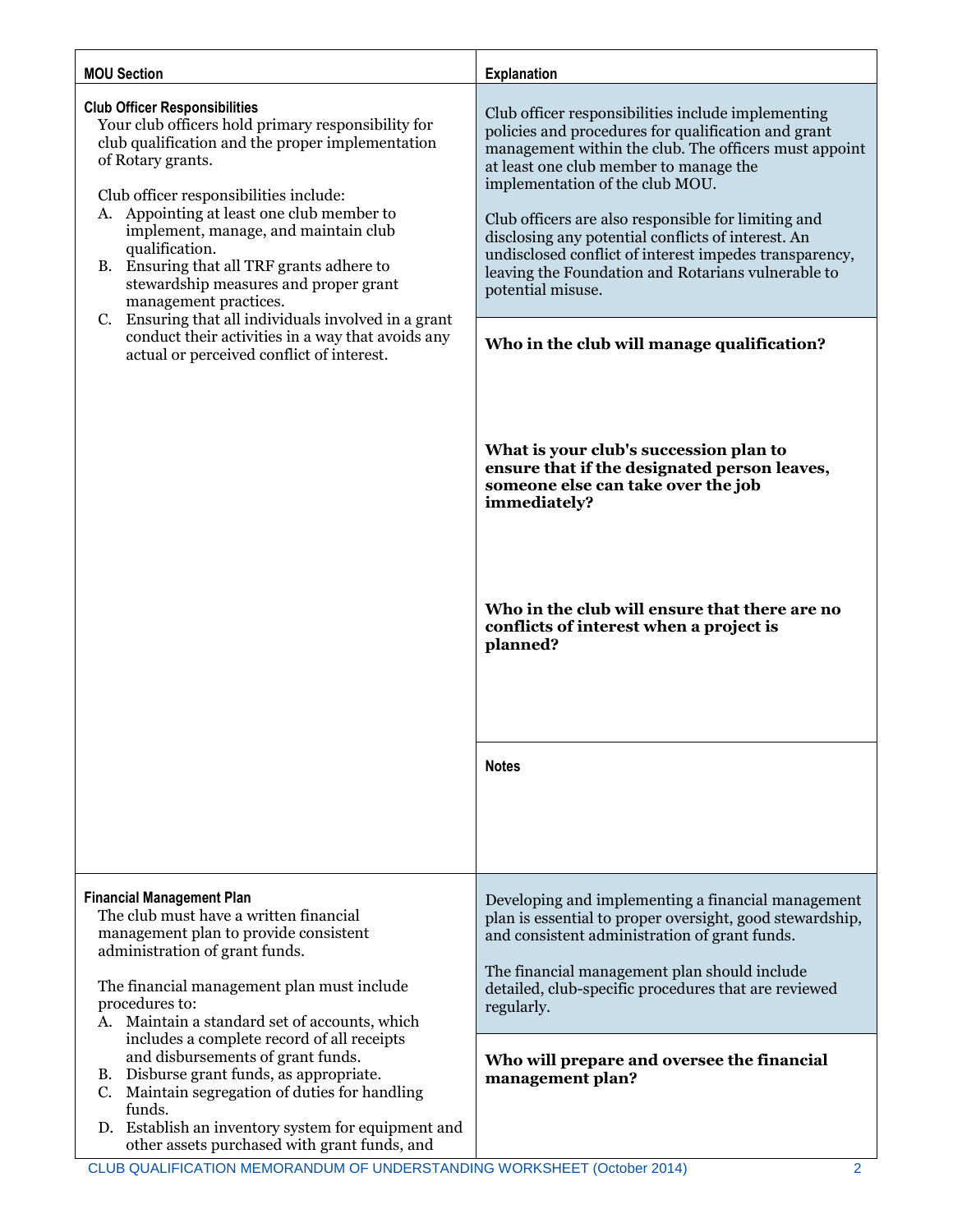| <b>MOU Section</b>                                                                                                                                                                                                                                                                                                                                                                                                                                                                                                                                                                               | <b>Explanation</b>                                                                                                                                                                                                                                                                                                                                                                                                                                                                                |
|--------------------------------------------------------------------------------------------------------------------------------------------------------------------------------------------------------------------------------------------------------------------------------------------------------------------------------------------------------------------------------------------------------------------------------------------------------------------------------------------------------------------------------------------------------------------------------------------------|---------------------------------------------------------------------------------------------------------------------------------------------------------------------------------------------------------------------------------------------------------------------------------------------------------------------------------------------------------------------------------------------------------------------------------------------------------------------------------------------------|
| <b>Club Officer Responsibilities</b><br>Your club officers hold primary responsibility for<br>club qualification and the proper implementation<br>of Rotary grants.<br>Club officer responsibilities include:<br>A. Appointing at least one club member to<br>implement, manage, and maintain club<br>qualification.<br>B. Ensuring that all TRF grants adhere to<br>stewardship measures and proper grant<br>management practices.<br>Ensuring that all individuals involved in a grant<br>C.<br>conduct their activities in a way that avoids any<br>actual or perceived conflict of interest. | Club officer responsibilities include implementing<br>policies and procedures for qualification and grant<br>management within the club. The officers must appoint<br>at least one club member to manage the<br>implementation of the club MOU.<br>Club officers are also responsible for limiting and<br>disclosing any potential conflicts of interest. An<br>undisclosed conflict of interest impedes transparency,<br>leaving the Foundation and Rotarians vulnerable to<br>potential misuse. |
|                                                                                                                                                                                                                                                                                                                                                                                                                                                                                                                                                                                                  | Who in the club will manage qualification?<br>What is your club's succession plan to<br>ensure that if the designated person leaves,<br>someone else can take over the job<br>immediately?<br>Who in the club will ensure that there are no<br>conflicts of interest when a project is<br>planned?                                                                                                                                                                                                |
|                                                                                                                                                                                                                                                                                                                                                                                                                                                                                                                                                                                                  | <b>Notes</b>                                                                                                                                                                                                                                                                                                                                                                                                                                                                                      |
| <b>Financial Management Plan</b><br>The club must have a written financial<br>management plan to provide consistent<br>administration of grant funds.<br>The financial management plan must include<br>procedures to:<br>A. Maintain a standard set of accounts, which<br>includes a complete record of all receipts<br>and disbursements of grant funds.<br>B. Disburse grant funds, as appropriate.<br>C. Maintain segregation of duties for handling<br>funds.<br>D. Establish an inventory system for equipment and<br>other assets purchased with grant funds, and                          | Developing and implementing a financial management<br>plan is essential to proper oversight, good stewardship,<br>and consistent administration of grant funds.<br>The financial management plan should include<br>detailed, club-specific procedures that are reviewed<br>regularly.                                                                                                                                                                                                             |
|                                                                                                                                                                                                                                                                                                                                                                                                                                                                                                                                                                                                  | Who will prepare and oversee the financial<br>management plan?                                                                                                                                                                                                                                                                                                                                                                                                                                    |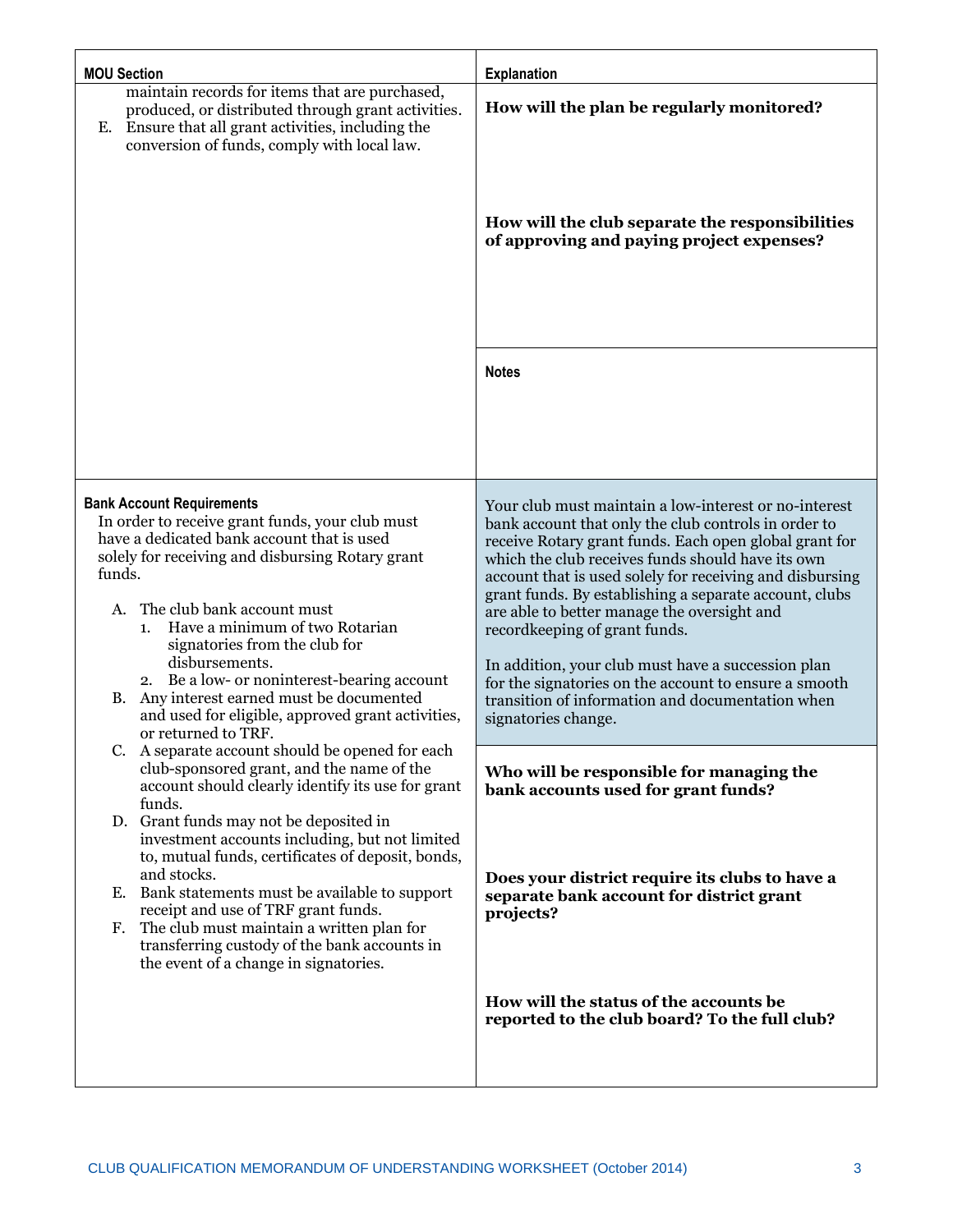| <b>MOU Section</b>                                                                                                                                                                                                                                                                                                                                                                                                                                                                                        | <b>Explanation</b>                                                                                                                                                                                                                                                                                                                                                                                                                                                                                                                                                                                                            |
|-----------------------------------------------------------------------------------------------------------------------------------------------------------------------------------------------------------------------------------------------------------------------------------------------------------------------------------------------------------------------------------------------------------------------------------------------------------------------------------------------------------|-------------------------------------------------------------------------------------------------------------------------------------------------------------------------------------------------------------------------------------------------------------------------------------------------------------------------------------------------------------------------------------------------------------------------------------------------------------------------------------------------------------------------------------------------------------------------------------------------------------------------------|
| maintain records for items that are purchased,<br>produced, or distributed through grant activities.<br>Ensure that all grant activities, including the<br>Е.<br>conversion of funds, comply with local law.                                                                                                                                                                                                                                                                                              | How will the plan be regularly monitored?                                                                                                                                                                                                                                                                                                                                                                                                                                                                                                                                                                                     |
|                                                                                                                                                                                                                                                                                                                                                                                                                                                                                                           | How will the club separate the responsibilities<br>of approving and paying project expenses?                                                                                                                                                                                                                                                                                                                                                                                                                                                                                                                                  |
|                                                                                                                                                                                                                                                                                                                                                                                                                                                                                                           | <b>Notes</b>                                                                                                                                                                                                                                                                                                                                                                                                                                                                                                                                                                                                                  |
| <b>Bank Account Requirements</b><br>In order to receive grant funds, your club must<br>have a dedicated bank account that is used<br>solely for receiving and disbursing Rotary grant<br>funds.<br>The club bank account must<br>А.<br>Have a minimum of two Rotarian<br>1.<br>signatories from the club for<br>disbursements.<br>2. Be a low- or noninterest-bearing account<br>Any interest earned must be documented<br>В.<br>and used for eligible, approved grant activities,<br>or returned to TRF. | Your club must maintain a low-interest or no-interest<br>bank account that only the club controls in order to<br>receive Rotary grant funds. Each open global grant for<br>which the club receives funds should have its own<br>account that is used solely for receiving and disbursing<br>grant funds. By establishing a separate account, clubs<br>are able to better manage the oversight and<br>record keeping of grant funds.<br>In addition, your club must have a succession plan<br>for the signatories on the account to ensure a smooth<br>transition of information and documentation when<br>signatories change. |
| C. A separate account should be opened for each<br>club-sponsored grant, and the name of the<br>account should clearly identify its use for grant<br>funds.                                                                                                                                                                                                                                                                                                                                               | Who will be responsible for managing the<br>bank accounts used for grant funds?                                                                                                                                                                                                                                                                                                                                                                                                                                                                                                                                               |
| D. Grant funds may not be deposited in<br>investment accounts including, but not limited<br>to, mutual funds, certificates of deposit, bonds,<br>and stocks.<br>Bank statements must be available to support<br>Е.<br>receipt and use of TRF grant funds.<br>The club must maintain a written plan for<br>F.<br>transferring custody of the bank accounts in<br>the event of a change in signatories.                                                                                                     | Does your district require its clubs to have a<br>separate bank account for district grant<br>projects?                                                                                                                                                                                                                                                                                                                                                                                                                                                                                                                       |
|                                                                                                                                                                                                                                                                                                                                                                                                                                                                                                           | How will the status of the accounts be<br>reported to the club board? To the full club?                                                                                                                                                                                                                                                                                                                                                                                                                                                                                                                                       |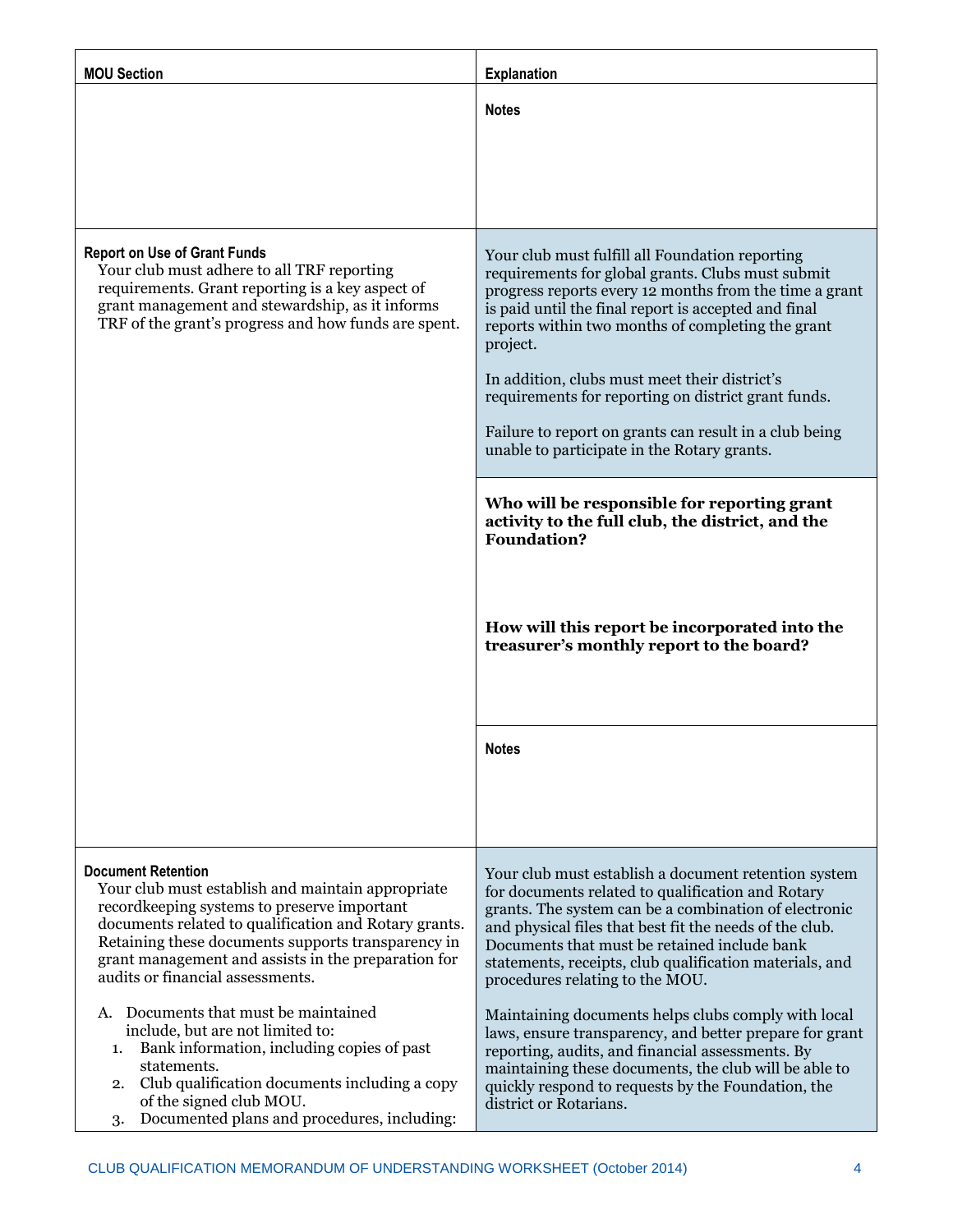| <b>MOU Section</b>                                                                                                                                                                                                                                                                                                                      | <b>Explanation</b>                                                                                                                                                                                                                                                                                                                                                                                                                                                                                       |
|-----------------------------------------------------------------------------------------------------------------------------------------------------------------------------------------------------------------------------------------------------------------------------------------------------------------------------------------|----------------------------------------------------------------------------------------------------------------------------------------------------------------------------------------------------------------------------------------------------------------------------------------------------------------------------------------------------------------------------------------------------------------------------------------------------------------------------------------------------------|
|                                                                                                                                                                                                                                                                                                                                         | <b>Notes</b>                                                                                                                                                                                                                                                                                                                                                                                                                                                                                             |
| <b>Report on Use of Grant Funds</b><br>Your club must adhere to all TRF reporting<br>requirements. Grant reporting is a key aspect of<br>grant management and stewardship, as it informs<br>TRF of the grant's progress and how funds are spent.                                                                                        | Your club must fulfill all Foundation reporting<br>requirements for global grants. Clubs must submit<br>progress reports every 12 months from the time a grant<br>is paid until the final report is accepted and final<br>reports within two months of completing the grant<br>project.<br>In addition, clubs must meet their district's<br>requirements for reporting on district grant funds.<br>Failure to report on grants can result in a club being<br>unable to participate in the Rotary grants. |
|                                                                                                                                                                                                                                                                                                                                         | Who will be responsible for reporting grant<br>activity to the full club, the district, and the<br><b>Foundation?</b><br>How will this report be incorporated into the<br>treasurer's monthly report to the board?                                                                                                                                                                                                                                                                                       |
|                                                                                                                                                                                                                                                                                                                                         | <b>Notes</b>                                                                                                                                                                                                                                                                                                                                                                                                                                                                                             |
| <b>Document Retention</b><br>Your club must establish and maintain appropriate<br>recordkeeping systems to preserve important<br>documents related to qualification and Rotary grants.<br>Retaining these documents supports transparency in<br>grant management and assists in the preparation for<br>audits or financial assessments. | Your club must establish a document retention system<br>for documents related to qualification and Rotary<br>grants. The system can be a combination of electronic<br>and physical files that best fit the needs of the club.<br>Documents that must be retained include bank<br>statements, receipts, club qualification materials, and<br>procedures relating to the MOU.                                                                                                                              |
| Documents that must be maintained<br>А.<br>include, but are not limited to:<br>Bank information, including copies of past<br>1.<br>statements.<br>Club qualification documents including a copy<br>2.<br>of the signed club MOU.<br>Documented plans and procedures, including:<br>3.                                                   | Maintaining documents helps clubs comply with local<br>laws, ensure transparency, and better prepare for grant<br>reporting, audits, and financial assessments. By<br>maintaining these documents, the club will be able to<br>quickly respond to requests by the Foundation, the<br>district or Rotarians.                                                                                                                                                                                              |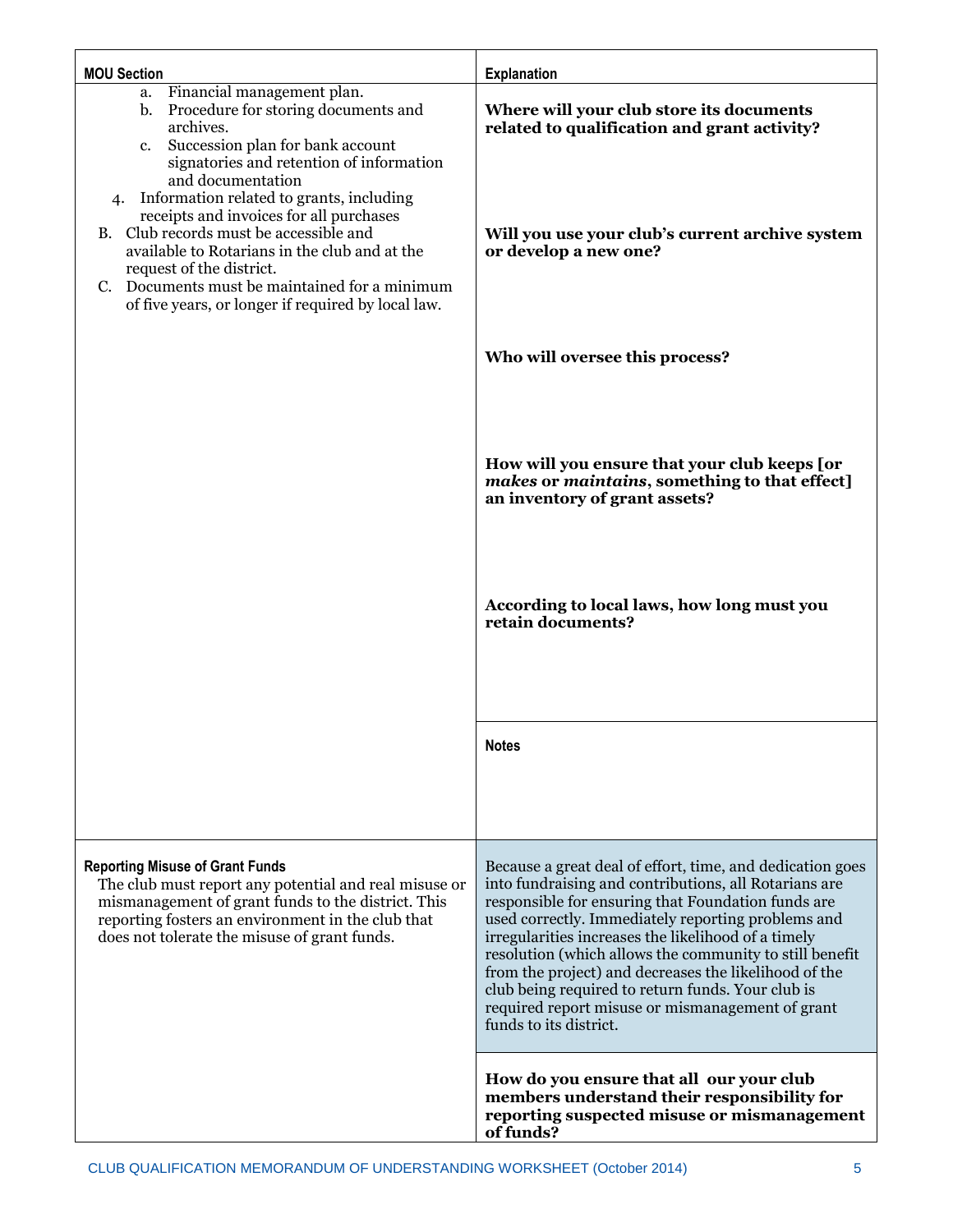| <b>MOU Section</b>                                                                                                                                                                                                                                                                                                                                                                                                                                                                                                                           | <b>Explanation</b>                                                                                                                                                                                                                                                                                                                                                                                                                                                                                                                           |
|----------------------------------------------------------------------------------------------------------------------------------------------------------------------------------------------------------------------------------------------------------------------------------------------------------------------------------------------------------------------------------------------------------------------------------------------------------------------------------------------------------------------------------------------|----------------------------------------------------------------------------------------------------------------------------------------------------------------------------------------------------------------------------------------------------------------------------------------------------------------------------------------------------------------------------------------------------------------------------------------------------------------------------------------------------------------------------------------------|
| a. Financial management plan.<br>Procedure for storing documents and<br>$\mathbf{b}$ .<br>archives.<br>Succession plan for bank account<br>c.<br>signatories and retention of information<br>and documentation<br>Information related to grants, including<br>4.<br>receipts and invoices for all purchases<br>B. Club records must be accessible and<br>available to Rotarians in the club and at the<br>request of the district.<br>Documents must be maintained for a minimum<br>C.<br>of five years, or longer if required by local law. | Where will your club store its documents<br>related to qualification and grant activity?<br>Will you use your club's current archive system<br>or develop a new one?                                                                                                                                                                                                                                                                                                                                                                         |
|                                                                                                                                                                                                                                                                                                                                                                                                                                                                                                                                              | Who will oversee this process?                                                                                                                                                                                                                                                                                                                                                                                                                                                                                                               |
|                                                                                                                                                                                                                                                                                                                                                                                                                                                                                                                                              | How will you ensure that your club keeps [or<br>makes or maintains, something to that effect]<br>an inventory of grant assets?<br>According to local laws, how long must you<br>retain documents?                                                                                                                                                                                                                                                                                                                                            |
|                                                                                                                                                                                                                                                                                                                                                                                                                                                                                                                                              | <b>Notes</b>                                                                                                                                                                                                                                                                                                                                                                                                                                                                                                                                 |
|                                                                                                                                                                                                                                                                                                                                                                                                                                                                                                                                              |                                                                                                                                                                                                                                                                                                                                                                                                                                                                                                                                              |
| <b>Reporting Misuse of Grant Funds</b><br>The club must report any potential and real misuse or<br>mismanagement of grant funds to the district. This<br>reporting fosters an environment in the club that<br>does not tolerate the misuse of grant funds.                                                                                                                                                                                                                                                                                   | Because a great deal of effort, time, and dedication goes<br>into fundraising and contributions, all Rotarians are<br>responsible for ensuring that Foundation funds are<br>used correctly. Immediately reporting problems and<br>irregularities increases the likelihood of a timely<br>resolution (which allows the community to still benefit<br>from the project) and decreases the likelihood of the<br>club being required to return funds. Your club is<br>required report misuse or mismanagement of grant<br>funds to its district. |
|                                                                                                                                                                                                                                                                                                                                                                                                                                                                                                                                              | How do you ensure that all our your club<br>members understand their responsibility for<br>reporting suspected misuse or mismanagement<br>of funds?                                                                                                                                                                                                                                                                                                                                                                                          |